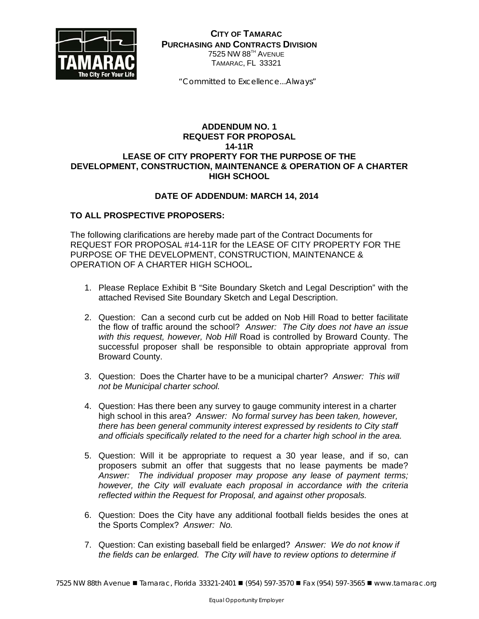

**CITY OF TAMARAC PURCHASING AND CONTRACTS DIVISION** 7525 NW 88<sup>TH</sup> AVENUE TAMARAC, FL 33321

 *"Committed to Excellence...Always"*

## **ADDENDUM NO. 1 REQUEST FOR PROPOSAL 14-11R LEASE OF CITY PROPERTY FOR THE PURPOSE OF THE DEVELOPMENT, CONSTRUCTION, MAINTENANCE & OPERATION OF A CHARTER HIGH SCHOOL**

## **DATE OF ADDENDUM: MARCH 14, 2014**

## **TO ALL PROSPECTIVE PROPOSERS:**

The following clarifications are hereby made part of the Contract Documents for REQUEST FOR PROPOSAL #14-11R for the LEASE OF CITY PROPERTY FOR THE PURPOSE OF THE DEVELOPMENT, CONSTRUCTION, MAINTENANCE & OPERATION OF A CHARTER HIGH SCHOOL*.* 

- 1. Please Replace Exhibit B "Site Boundary Sketch and Legal Description" with the attached Revised Site Boundary Sketch and Legal Description.
- 2. Question: Can a second curb cut be added on Nob Hill Road to better facilitate the flow of traffic around the school? *Answer: The City does not have an issue with this request, however, Nob Hill* Road is controlled by Broward County. The successful proposer shall be responsible to obtain appropriate approval from Broward County.
- 3. Question: Does the Charter have to be a municipal charter? *Answer: This will not be Municipal charter school.*
- 4. Question: Has there been any survey to gauge community interest in a charter high school in this area? *Answer: No formal survey has been taken, however, there has been general community interest expressed by residents to City staff and officials specifically related to the need for a charter high school in the area.*
- 5. Question: Will it be appropriate to request a 30 year lease, and if so, can proposers submit an offer that suggests that no lease payments be made? *Answer: The individual proposer may propose any lease of payment terms; however, the City will evaluate each proposal in accordance with the criteria reflected within the Request for Proposal, and against other proposals.*
- 6. Question: Does the City have any additional football fields besides the ones at the Sports Complex? *Answer: No.*
- 7. Question: Can existing baseball field be enlarged? *Answer: We do not know if the fields can be enlarged. The City will have to review options to determine if*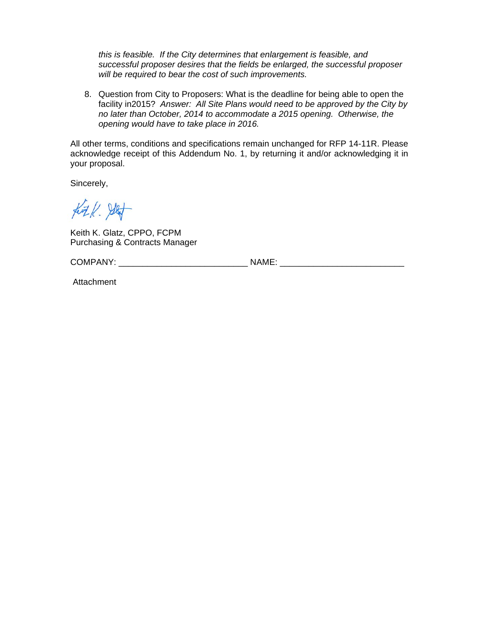*this is feasible. If the City determines that enlargement is feasible, and successful proposer desires that the fields be enlarged, the successful proposer will be required to bear the cost of such improvements.* 

8. Question from City to Proposers: What is the deadline for being able to open the facility in2015? *Answer: All Site Plans would need to be approved by the City by no later than October, 2014 to accommodate a 2015 opening. Otherwise, the opening would have to take place in 2016.* 

All other terms, conditions and specifications remain unchanged for RFP 14-11R. Please acknowledge receipt of this Addendum No. 1, by returning it and/or acknowledging it in your proposal.

Sincerely,

fit / 9/4

Keith K. Glatz, CPPO, FCPM Purchasing & Contracts Manager

COMPANY: \_\_\_\_\_\_\_\_\_\_\_\_\_\_\_\_\_\_\_\_\_\_\_\_\_\_\_ NAME: \_\_\_\_\_\_\_\_\_\_\_\_\_\_\_\_\_\_\_\_\_\_\_\_\_\_

Attachment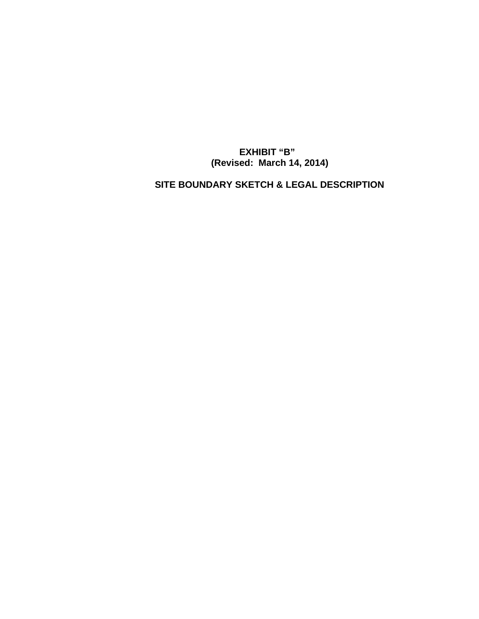**EXHIBIT "B" (Revised: March 14, 2014)** 

 **SITE BOUNDARY SKETCH & LEGAL DESCRIPTION**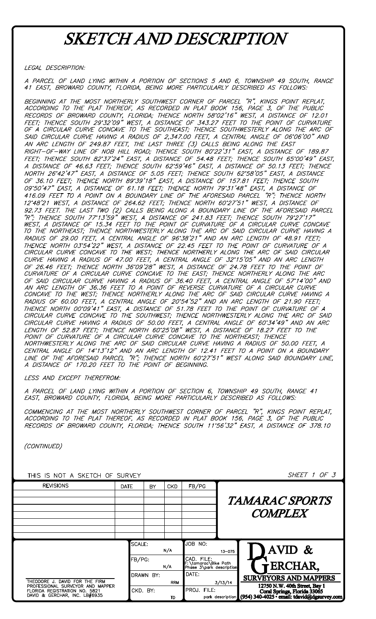# **SKETCH AND DESCRIPTION**

LEGAL DESCRIPTION:

A PARCEL OF LAND LYING WITHIN A PORTION OF SECTIONS 5 AND 6, TOWNSHIP 49 SOUTH, RANGE 41 EAST, BROWARD COUNTY, FLORIDA, BEING MORE PARTICULARLY DESCRIBED AS FOLLOWS:

BEGINNING AT THE MOST NORTHERLY SOUTHWEST CORNER OF PARCEL "R", KINGS POINT REPLAT,<br>ACCORDING TO THE PLAT THEREOF, AS RECORDED IN PLAT BOOK 156, PAGE 3, OF THE PUBLIC RECORDS OF BROWARD COUNTY, FLORIDA; THENCE NORTH 58'02'16" WEST, A DISTANCE OF 12.01<br>FEET; THENCE SOUTH 29'32'09" WEST, A DISTANCE OF 343.27 FEET TO THE POINT OF CURVATURE<br>OF A CIRCULAR CURVE CONCAVE TO THE SOUTHEAST; THEN SAID CIRCULAR CURVE HAVING A RADIUS OF 2,347.00 FEET, A CENTRAL ANGLE OF 06°06'00" AND<br>AN ARC LENGTH OF 249.87 FEET, THE LAST THREE (3) CALLS BEING ALONG THE EAST RIGHT-OF-WAY LINE OF NOB HILL ROAD; THENCE SOUTH 80'22'31" EAST, A DISTANCE OF 189.87 FEET; THENCE SOUTH 82'37'24" EAST, A DISTANCE OF 54.48 FEET; THENCE SOUTH 65'00'49" EAST, A DISTANCE OF 46.63 FEET; THENCE SOUTH 62'59'46" EAST, A DISTANCE OF 50.13 FEET; THENCE<br>NORTH 26'42'47" EAST, A DISTANCE OF 5.05 FEET; THENCE SOUTH 62'58'05" EAST, A DISTANCE<br>OF 36.10 FEET; THENCE NORTH 89'39'18" EAST, A D 09'50'47" EAST, A DISTANCE OF 61.18 FEET; THENCE NORTH 79'31'48" EAST, A DISTANCE OF<br>416.09 FEET TO A POINT ON A BOUNDARY LINE OF THE AFORESAID PARCEL "R"; THENCE NORTH 12'48'21 WEST, A DISTANCE OF 264.62 FEET; THENCE NORTH 60'27'51" WEST, A DISTANCE OF 12'48'21 WEST, A DISTANCE OF 264.62 FEET; THENCE NORTH 60'27'51" WEST, A DISTANCE OF<br>92.73 FEET. THE LAST TWO (2) CALLS BEING ALONG A BOUNDARY LINE OF THE AFORESAID PARCEL<br>"R", THENCE SOUTH 77'13'59" WEST, A DISTANCE OF 24 OF SAID CIRCULAR CURVE HAVING A RADIUS OF 36.40 FEET, A CENTRAL ANGLE OF 57'14'00"<br>AN ARC LENGTH OF 36.36 FEET TO A POINT OF REVERSE CURVATURE OF A CIRCULAR CURVE AND AN ARC LENGTH OF 36.36 FEET TO A POINT OF REVERSE CORVATORE OF A CIRCULAR CORVE<br>CONCAVE TO THE WEST; THENCE NORTHERLY ALONG THE ARC OF SAID CIRCULAR CURVE HAVING A<br>RADIUS OF 60.00 FEET, A CENTRAL ANGLE OF 20'54'52" AND AN CIRCULAR CURVE HAVING A RADIUS OF 50.00 FEET, A CENTRAL ANGLE OF 60'34'49" AND AN ARC<br>LENGTH OF 52.87 FEET; THENCE NORTH 60'25'08" WEST, A DISTANCE OF 18.27 FEET TO THE<br>POINT OF CURVATURE OF A CIRCULAR CURVE CONCAVE TO THE NORTHWESTERLY ALONG THE ARC OF SAID CIRCULAR CURVE HAVING A RADIUS OF 50.00 FEET, A<br>CENTRAL ANGLE OF 14'13'12" AND AN ARC LENGTH OF 12.41 FEET TO A POINT ON A BOUNDARY LINE OF THE AFORESAID PARCEL "R"; THENCE NORTH 60'27'51" WEST ALONG SAID BOUNDARY LINE,<br>A DISTANCE OF 170.20 FEET TO THE POINT OF BEGINNING.

LESS AND EXCEPT THEREFROM:

A PARCEL OF LAND LYING WITHIN A PORTION OF SECTION 6, TOWNSHIP 49 SOUTH, RANGE 41 EAST, BROWARD COUNTY, FLORIDA, BEING MORE PARTICULARLY DESCRIBED AS FOLLOWS:

COMMENCING AT THE MOST NORTHERLY SOUTHWEST CORNER OF PARCEL "R", KINGS POINT REPLAT,<br>ACCORDING TO THE PLAT THEREOF, AS RECORDED IN PLAT BOOK 156, PAGE 3, OF THE PUBLIC RECORDS OF BROWARD COUNTY, FLORIDA; THENCE SOUTH 11'56'32" EAST, A DISTANCE OF 378.10

(CONTINUED)

| <i>SHEET 1 OF 3</i>                                                                                                                            | THIS IS NOT A SKETCH OF SURVEY                                 |                  |                         |      |                                                                                                    |  |  |  |  |
|------------------------------------------------------------------------------------------------------------------------------------------------|----------------------------------------------------------------|------------------|-------------------------|------|----------------------------------------------------------------------------------------------------|--|--|--|--|
|                                                                                                                                                | FB/PG                                                          | <b>CKD</b>       | BY                      | DATE | <b>REVISIONS</b>                                                                                   |  |  |  |  |
|                                                                                                                                                |                                                                |                  |                         |      |                                                                                                    |  |  |  |  |
| <i><b>TAMARAC SPORTS</b></i>                                                                                                                   |                                                                |                  |                         |      |                                                                                                    |  |  |  |  |
| <b>COMPLEX</b>                                                                                                                                 |                                                                |                  |                         |      |                                                                                                    |  |  |  |  |
|                                                                                                                                                |                                                                |                  |                         |      |                                                                                                    |  |  |  |  |
|                                                                                                                                                |                                                                |                  |                         |      |                                                                                                    |  |  |  |  |
| AVID $\&$<br>$13 - 075$                                                                                                                        | JOB NO:                                                        | N/A              | SCALE:<br>FB/PG:<br>N/A |      |                                                                                                    |  |  |  |  |
| ERCHAR,                                                                                                                                        | CAD. FILE:<br>F:\tamarac\Bike Path<br>Phase 3\park description |                  |                         |      |                                                                                                    |  |  |  |  |
| <b>SURVEYORS AND MAPPERS</b>                                                                                                                   | DATE:                                                          |                  | DRAWN BY:               |      | THEODORE J. DAVID FOR THE FIRM                                                                     |  |  |  |  |
| 3/13/14<br>12750 N.W. 40th Street, Bay 1<br>FILE: Coral Springs, Florida 33065<br>park description (954) 340-4025 - email: tdavid@dgsurvey.com | PROJ. FILE:                                                    | <b>RRM</b><br>TD | CKD. BY:                |      | PROFESSIONAL SURVEYOR AND MAPPER<br>FLORIDA REGISTRATION NO. 5821<br>DAVID & GERCHAR, INC. LB#6935 |  |  |  |  |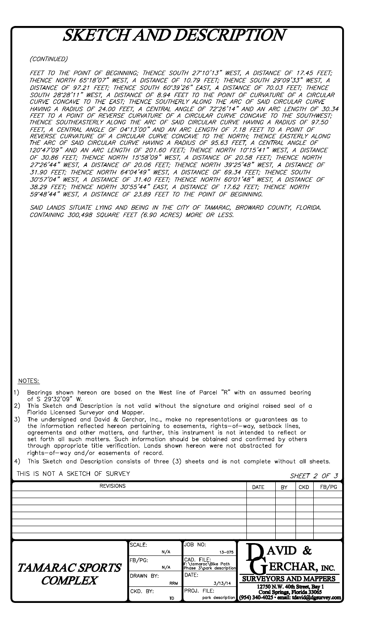## **SKETCH AND DESCRIPTION**

### (CONTINUED)

FEET TO THE POINT OF BEGINNING; THENCE SOUTH 27'10'13" WEST, A DISTANCE OF 17.45 FEET; THENCE NORTH 65'18'07" WEST, A DISTANCE OF 10.79 FEET; THENCE SOUTH 29'09'33" WEST, A DISTANCE OF 97.21 FEET; THENCE SOUTH 60'39'26" EAST, A DISTANCE OF 70.03 FEET; THENCE<br>SOUTH 28'28'11" WEST, A DISTANCE OF 8.94 FEET TO THE POINT OF CURVATURE OF A CIRCULAR<br>CURVE CONCAVE TO THE EAST; THENCE SOUTHERLY ALONG CONVE CONCAVE TO THE EAST, THENCE SOUTHERET ALONG THE AND ON SAID CINCULAN CONVETTING A RADIUS OF 24.00 FEET, A CENTRAL ANGLE OF 72'26'14" AND AN ARC LENGTH OF 30.34<br>FEET TO A POINT OF REVERSE CURVATURE OF A CIRCULAR CURVE FEET, A CENTRAL ANGLE OF 04\*13'00" AND AN ARC LENGTH OF 7.18 FEET TO A POINT OF<br>REVERSE CURVATURE OF A CIRCULAR CURVE CONCAVE TO THE NORTH; THENCE EASTERLY ALONG<br>THE ARC OF SAID CIRCULAR CURVE HAVING A RADIUS OF 95.63 FEET 120'47'09" AND AN ARC LENGTH OF 201.60 FEET; THENCE NORTH 10'15'41" WEST, A DISTANCE OF 30.86 FEET; THENCE NORTH 15°58'09" WEST, A DISTANCE OF 20.58 FEET; THENCE NORTH 27°26'44" WEST, A DISTANCE OF 20.06 FEET; THENCE NORTH 27°26'44" WEST, A DISTANCE OF 20.06 FEET; THENCE OF 31.90 FEET; THENCE OF 31.90 FEET 30'57'04" WEST, A DISTANCE OF 31.40 FEET; THENCE NORTH 60'01'48" WEST, A DISTANCE OF 38.29 FEET; THENCE NORTH 30°55'44" EAST, A DISTANCE OF 17.62 FEET; THENCE NORTH 59'48'44" WEST, A DISTANCE OF 23.89 FEET TO THE POINT OF BEGINNING.

SAID LANDS SITUATE LYING AND BEING IN THE CITY OF TAMARAC, BROWARD COUNTY, FLORIDA. CONTAINING 300,498 SQUARE FEET (6.90 ACRES) MORE OR LESS.

#### NOTES:

- Bearings shown hereon are based on the West line of Parcel "R" with an assumed bearing  $1)$ of S 29'32'09" W.
- This Sketch and Description is not valid without the signature and original raised seal of a  $2)$ Florida Licensed Surveyor and Mapper.
- The undersigned and David & Gerchar, Inc., make no representations or guarantees as to  $3)$ the information reflected hereon pertaining to easements, rights-of-way, setback lines, agreements and other matters, and further, this instrument is not intended to reflect or set forth all such matters. Such information should be obtained and confirmed by others through appropriate title verification. Lands shown hereon were not abstracted for rights-of-way and/or easements of record.

 $4)$ This Sketch and Description consists of three (3) sheets and is not complete without all sheets.

SHEET 2 OF 3

### THIS IS NOT A SKETCH OF SURVEY

|                                         |                         |                                                                              |                                                                                                                                     |           |  | <u>UILLIZU U</u> |
|-----------------------------------------|-------------------------|------------------------------------------------------------------------------|-------------------------------------------------------------------------------------------------------------------------------------|-----------|--|------------------|
| <b>REVISIONS</b>                        | <b>DATE</b>             | BY                                                                           | <b>CKD</b>                                                                                                                          | FB/PG     |  |                  |
|                                         |                         |                                                                              |                                                                                                                                     |           |  |                  |
|                                         |                         |                                                                              |                                                                                                                                     |           |  |                  |
|                                         |                         |                                                                              |                                                                                                                                     |           |  |                  |
|                                         |                         |                                                                              |                                                                                                                                     |           |  |                  |
|                                         |                         |                                                                              |                                                                                                                                     |           |  |                  |
|                                         |                         |                                                                              |                                                                                                                                     |           |  |                  |
|                                         |                         |                                                                              |                                                                                                                                     |           |  |                  |
|                                         | SCALE:                  | JOB NO:                                                                      |                                                                                                                                     | AVID $\&$ |  |                  |
| <b>TAMARAC SPORTS</b><br><b>COMPLEX</b> | N/A<br>FB/PG:<br>N/A    | $13 - 075$<br>CAD. FILE:<br>F:\tamarac\Bike Path<br>Phase 3\park description |                                                                                                                                     |           |  |                  |
|                                         | DRAWN BY:<br><b>RRM</b> | DATE:                                                                        | ERCHAR, INC.<br><b>SURVEYORS AND MAPPERS</b>                                                                                        |           |  |                  |
|                                         | CKD. BY:                | 3/13/14<br>PROJ. FILE:                                                       | 12750 N.W. 40th Street, Bay 1<br>FILE: Coral Springs, Florida 33065<br>park description (954) 340-4025 · email: tdavid@desurvey.com |           |  |                  |
|                                         | TD.                     |                                                                              |                                                                                                                                     |           |  |                  |